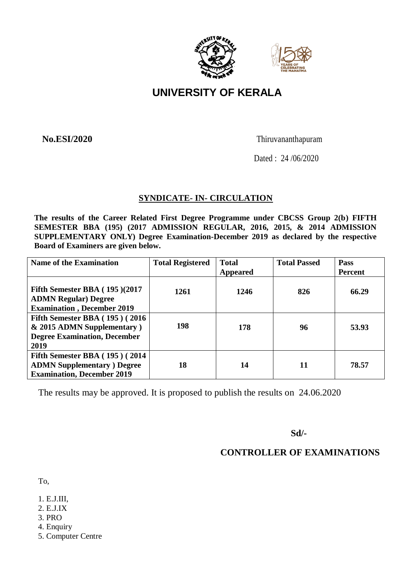



# **UNIVERSITY OF KERALA**

**No.ESI/2020** Thiruvananthapuram

Dated : 24 /06/2020

# **SYNDICATE- IN- CIRCULATION**

**The results of the Career Related First Degree Programme under CBCSS Group 2(b) FIFTH SEMESTER BBA (195) (2017 ADMISSION REGULAR, 2016, 2015, & 2014 ADMISSION SUPPLEMENTARY ONLY) Degree Examination-December 2019 as declared by the respective Board of Examiners are given below.**

| <b>Name of the Examination</b>                                                                                    | <b>Total Registered</b> | <b>Total</b><br><b>Appeared</b> | <b>Total Passed</b> | <b>Pass</b><br>Percent |
|-------------------------------------------------------------------------------------------------------------------|-------------------------|---------------------------------|---------------------|------------------------|
| Fifth Semester BBA $(195)(2017)$<br><b>ADMN Regular) Degree</b><br><b>Examination</b> , December 2019             | 1261                    | 1246                            | 826                 | 66.29                  |
| Fifth Semester BBA $(195)$ $(2016)$<br>& 2015 ADMN Supplementary)<br><b>Degree Examination, December</b><br>2019  | 198                     | 178                             | 96                  | 53.93                  |
| <b>Fifth Semester BBA</b> (195) (2014)<br><b>ADMN Supplementary</b> ) Degree<br><b>Examination, December 2019</b> | 18                      | 14                              | 11                  | 78.57                  |

The results may be approved. It is proposed to publish the results on 24.06.2020

 **Sd/-**

# **CONTROLLER OF EXAMINATIONS**

To,

- 1. E.J.III,
- 2. E.J.IX
- 3. PRO
- 4. Enquiry
- 5. Computer Centre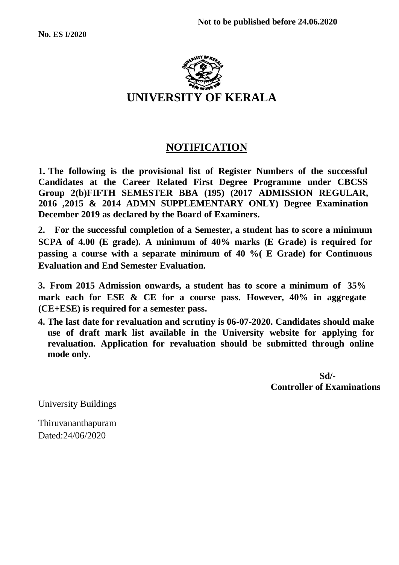

# **NOTIFICATION**

**1. The following is the provisional list of Register Numbers of the successful Candidates at the Career Related First Degree Programme under CBCSS Group 2(b)FIFTH SEMESTER BBA (195) (2017 ADMISSION REGULAR, 2016 ,2015 & 2014 ADMN SUPPLEMENTARY ONLY) Degree Examination December 2019 as declared by the Board of Examiners.**

**2. For the successful completion of a Semester, a student has to score a minimum SCPA of 4.00 (E grade). A minimum of 40% marks (E Grade) is required for passing a course with a separate minimum of 40 %( E Grade) for Continuous Evaluation and End Semester Evaluation.**

**3.** From 2015 Admission onwards, a student has to score a minimum of 35% **mark each for ESE & CE for a course pass. However, 40% in aggregate (CE+ESE) is required for a semester pass.**

**4. The last date for revaluation and scrutiny is 06-07-2020. Candidates should make use of draft mark list available in the University website for applying for revaluation. Application for revaluation should be submitted through online mode only.**

 **Sd/- Controller of Examinations**

University Buildings

Thiruvananthapuram Dated:24/06/2020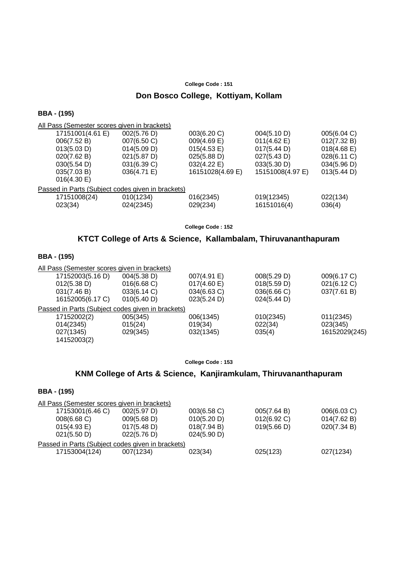#### **Don Bosco College, Kottiyam, Kollam**

#### **BBA - (195)**

All Pass (Semester scores given in brackets) 17151001(4.61 E) 002(5.76 D) 003(6.20 C) 004(5.10 D) 005(6.04 C) 006(7.52 B) 007(6.50 C) 009(4.69 E) 011(4.62 E) 012(7.32 B) 013(5.03 D) 014(5.09 D) 015(4.53 E) 017(5.44 D) 018(4.68 E)<br>020(7.62 B) 021(5.87 D) 025(5.88 D) 027(5.43 D) 028(6.11 C) 021(5.87 D) 025(5.88 D) 027(5.43 D) 028(6.11 C) 030(5.54 D) 031(6.39 C) 032(4.22 E) 033(5.30 D) 034(5.96 D) 035(7.03 B) 036(4.71 E) 16151028(4.69 E) 15151008(4.97 E) 013(5.44 D) 016(4.30 E) Passed in Parts (Subject codes given in brackets) 17151008(24) 010(1234) 016(2345) 019(12345) 022(134) 023(34) 024(2345) 029(234) 16151016(4) 036(4)

**College Code : 152**

## **KTCT College of Arts & Science, Kallambalam, Thiruvananthapuram**

#### **BBA - (195)**

All Pass (Semester scores given in brackets)

| 17152003(5.16 D)                                  | 004(5.38 D) | 007(4.91 E) | 008(5.29 D) | 009(6.17 C)   |
|---------------------------------------------------|-------------|-------------|-------------|---------------|
| 012(5.38 D)                                       | 016(6.68)   | 017(4.60 E) | 018(5.59 D) | 021(6.12 C)   |
| 031(7.46 B)                                       | 033(6.14 C) | 034(6.63 C) | 036(6.66 C) | 037(7.61 B)   |
| 16152005(6.17 C)                                  | 010(5.40 D) | 023(5.24 D) | 024(5.44 D) |               |
| Passed in Parts (Subject codes given in brackets) |             |             |             |               |
| 17152002(2)                                       | 005(345)    | 006(1345)   | 010(2345)   | 011(2345)     |
| 014(2345)                                         | 015(24)     | 019(34)     | 022(34)     | 023(345)      |
| 027(1345)                                         | 029(345)    | 032(1345)   | 035(4)      | 16152029(245) |
| 14152003(2)                                       |             |             |             |               |

#### **College Code : 153**

## **KNM College of Arts & Science, Kanjiramkulam, Thiruvananthapuram**

| <b>BBA - (195)</b> |  |  |
|--------------------|--|--|
|--------------------|--|--|

| All Pass (Semester scores given in brackets)      |             |             |             |             |
|---------------------------------------------------|-------------|-------------|-------------|-------------|
| 17153001(6.46 C)                                  | 002(5.97 D) | 003(6.58 C) | 005(7.64 B) | 006(6.03 C) |
| 008(6.68)                                         | 009(5.68 D) | 010(5.20 D) | 012(6.92 C) | 014(7.62 B) |
| $015(4.93 \text{ E})$                             | 017(5.48 D) | 018(7.94 B) | 019(5.66 D) | 020(7.34 B) |
| 021(5.50 D)                                       | 022(5.76 D) | 024(5.90 D) |             |             |
| Passed in Parts (Subject codes given in brackets) |             |             |             |             |
| 17153004(124)                                     | 007(1234)   | 023(34)     | 025(123)    | 027(1234)   |
|                                                   |             |             |             |             |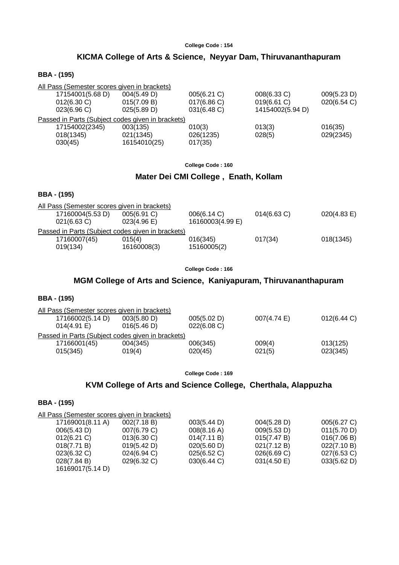# **KICMA College of Arts & Science, Neyyar Dam, Thiruvananthapuram**

## **BBA - (195)**

| All Pass (Semester scores given in brackets)      |              |             |                  |             |
|---------------------------------------------------|--------------|-------------|------------------|-------------|
| 17154001(5.68 D)                                  | 004(5.49 D)  | 005(6.21 C) | 008(6.33 C)      | 009(5.23 D) |
| $012(6.30)$ C)                                    | 015(7.09 B)  | 017(6.86 C) | 019(6.61 C)      | 020(6.54 C) |
| 023(6.96)                                         | 025(5.89 D)  | 031(6.48)   | 14154002(5.94 D) |             |
| Passed in Parts (Subject codes given in brackets) |              |             |                  |             |
| 17154002(2345)                                    | 003(135)     | 010(3)      | 013(3)           | 016(35)     |
| 018(1345)                                         | 021(1345)    | 026(1235)   | 028(5)           | 029(2345)   |
| 030(45)                                           | 16154010(25) | 017(35)     |                  |             |

#### **College Code : 160**

## **Mater Dei CMI College , Enath, Kollam**

#### **BBA - (195)**

| All Pass (Semester scores given in brackets)      |                  |                         |                           |
|---------------------------------------------------|------------------|-------------------------|---------------------------|
| $005(6.91)$ C)                                    |                  |                         | 020(4.83 E)               |
| 023(4.96)                                         | 16160003(4.99 E) |                         |                           |
| Passed in Parts (Subject codes given in brackets) |                  |                         |                           |
| 015(4)                                            |                  |                         | 018(1345)                 |
| 16160008(3)                                       | 15160005(2)      |                         |                           |
|                                                   |                  | 006(6.14 C)<br>016(345) | $014(6.63)$ C)<br>017(34) |

#### **College Code : 166**

## **MGM College of Arts and Science, Kaniyapuram, Thiruvananthapuram**

#### **BBA - (195)**

| All Pass (Semester scores given in brackets)      |             |             |             |             |
|---------------------------------------------------|-------------|-------------|-------------|-------------|
| 17166002(5.14 D)                                  | 003(5.80 D) | 005(5.02 D) | 007(4.74 E) | 012(6.44 C) |
| $014(4.91)$ E)                                    | 016(5.46 D) | 022(6.08 C) |             |             |
| Passed in Parts (Subject codes given in brackets) |             |             |             |             |
| 17166001(45)                                      | 004(345)    | 006(345)    | 009(4)      | 013(125)    |
| 015(345)                                          | 019(4)      | 020(45)     | 021(5)      | 023(345)    |
|                                                   |             |             |             |             |

#### **College Code : 169**

## **KVM College of Arts and Science College, Cherthala, Alappuzha**

| 17169001(8.11 A)<br>002(7.18 B) | 003(5.44 D) | 004(5.28 D)                                  | 005(6.27 C) |
|---------------------------------|-------------|----------------------------------------------|-------------|
| 007(6.79 C)                     | 008(8.16 A) | 009(5.53 D)                                  | 011(5.70 D) |
| 013(6.30)                       | 014(7.11 B) | 015(7.47 B)                                  | 016(7.06 B) |
| 019(5.42 D)                     | 020(5.60 D) | 021(7.12 B)                                  | 022(7.10 B) |
| 024(6.94 C)                     | 025(6.52 C) | 026(6.69 C)                                  | 027(6.53 C) |
| 029(6.32 C)                     | 030(6.44 C) | 031(4.50 E)                                  | 033(5.62 D) |
| 16169017(5.14 D)                |             |                                              |             |
|                                 |             | All Pass (Semester scores given in brackets) |             |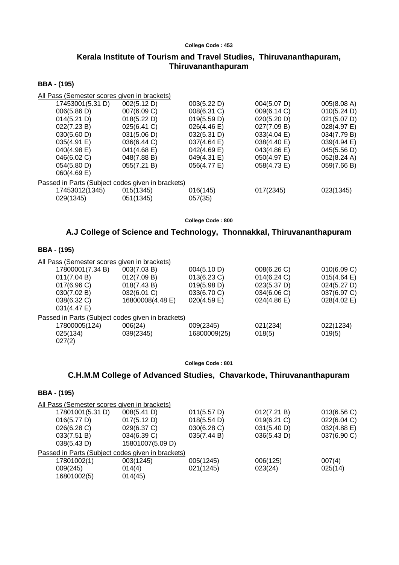# **Kerala Institute of Tourism and Travel Studies, Thiruvananthapuram, Thiruvananthapuram**

## **BBA - (195)**

| All Pass (Semester scores given in brackets)      |                       |                       |             |             |
|---------------------------------------------------|-----------------------|-----------------------|-------------|-------------|
| 17453001(5.31 D)                                  | 002(5.12 D)           | 003(5.22 D)           | 004(5.07 D) | 005(8.08 A) |
| 006(5.86 D)                                       | 007(6.09 C)           | 008(6.31 C)           | 009(6.14 C) | 010(5.24 D) |
| 014(5.21 D)                                       | 018(5.22 D)           | 019(5.59 D)           | 020(5.20 D) | 021(5.07 D) |
| 022(7.23 B)                                       | $025(6.41)$ C)        | $026(4.46 \text{ E})$ | 027(7.09 B) | 028(4.97 E) |
| 030(5.60 D)                                       | 031(5.06 D)           | 032(5.31 D)           | 033(4.04 E) | 034(7.79 B) |
| 035(4.91 E)                                       | 036(6.44 C)           | $037(4.64 \text{ E})$ | 038(4.40 E) | 039(4.94 E) |
| $040(4.98)$ E)                                    | $041(4.68 \text{ E})$ | 042(4.69 E)           | 043(4.86 E) | 045(5.56 D) |
| 046(6.02 C)                                       | 048(7.88 B)           | 049(4.31 E)           | 050(4.97 E) | 052(8.24 A) |
| 054(5.80 D)                                       | 055(7.21 B)           | 056(4.77 E)           | 058(4.73 E) | 059(7.66 B) |
| $060(4.69)$ E)                                    |                       |                       |             |             |
| Passed in Parts (Subject codes given in brackets) |                       |                       |             |             |
| 17453012(1345)                                    | 015(1345)             | 016(145)              | 017(2345)   | 023(1345)   |
| 029(1345)                                         | 051(1345)             | 057(35)               |             |             |
|                                                   |                       |                       |             |             |

**College Code : 800**

# **A.J College of Science and Technology, Thonnakkal, Thiruvananthapuram**

## **BBA - (195)**

| All Pass (Semester scores given in brackets)      |                  |                |             |                       |
|---------------------------------------------------|------------------|----------------|-------------|-----------------------|
| 17800001(7.34 B)                                  | 003(7.03 B)      | 004(5.10 D)    | 008(6.26 C) | 010(6.09 C)           |
| 011(7.04 B)                                       | 012(7.09 B)      | $013(6.23)$ C) | 014(6.24)   | $015(4.64 \text{ E})$ |
| 017(6.96 C)                                       | 018(7.43 B)      | 019(5.98 D)    | 023(5.37 D) | 024(5.27 D)           |
| 030(7.02 B)                                       | 032(6.01 C)      | 033(6.70 C)    | 034(6.06 C) | 037(6.97 C)           |
| 038(6.32 C)<br>031(4.47 E)                        | 16800008(4.48 E) | $020(4.59)$ E) | 024(4.86)   | $028(4.02 \text{ E})$ |
| Passed in Parts (Subject codes given in brackets) |                  |                |             |                       |
| 17800005(124)                                     | 006(24)          | 009(2345)      | 021(234)    | 022(1234)             |
| 025(134)                                          | 039(2345)        | 16800009(25)   | 018(5)      | 019(5)                |
| 027(2)                                            |                  |                |             |                       |

## **College Code : 801**

# **C.H.M.M College of Advanced Studies, Chavarkode, Thiruvananthapuram**

| All Pass (Semester scores given in brackets)      |                  |             |             |             |
|---------------------------------------------------|------------------|-------------|-------------|-------------|
| 17801001(5.31 D)                                  | 008(5.41 D)      | 011(5.57 D) | 012(7.21 B) | 013(6.56)   |
| 016(5.77 D)                                       | 017(5.12 D)      | 018(5.54 D) | 019(6.21)   | 022(6.04 C) |
| 026(6.28)                                         | $029(6.37)$ C)   | 030(6.28)   | 031(5.40 D) | 032(4.88 E) |
| 033(7.51 B)                                       | 034(6.39 C)      | 035(7.44 B) | 036(5.43 D) | 037(6.90 C) |
| 038(5.43 D)                                       | 15801007(5.09 D) |             |             |             |
| Passed in Parts (Subject codes given in brackets) |                  |             |             |             |
| 17801002(1)                                       | 003(1245)        | 005(1245)   | 006(125)    | 007(4)      |
| 009(245)                                          | 014(4)           | 021(1245)   | 023(24)     | 025(14)     |
| 16801002(5)                                       | 014(45)          |             |             |             |
|                                                   |                  |             |             |             |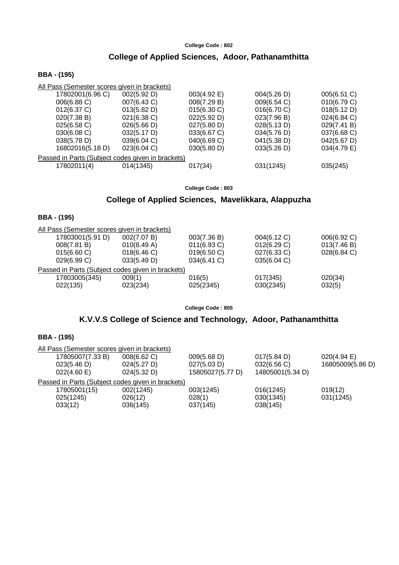# **College of Applied Sciences, Adoor, Pathanamthitta**

## **BBA - (195)**

| 002(5.92 D)    | 003(4.92 E) | 004(5.26 D)                                                                                       | 005(6.51 C) |
|----------------|-------------|---------------------------------------------------------------------------------------------------|-------------|
| 007(6.43 C)    | 008(7.29 B) | 009(6.54 C)                                                                                       | 010(6.79 C) |
| 013(5.82 D)    | 015(6.30 C) | 016(6.70 C)                                                                                       | 018(5.12 D) |
| $021(6.38)$ C) | 022(5.92 D) | 023(7.96 B)                                                                                       | 024(6.84 C) |
| 026(5.66 D)    | 027(5.80 D) | 028(5.13 D)                                                                                       | 029(7.41 B) |
| 032(5.17 D)    | 033(6.67 C) | 034(5.76 D)                                                                                       | 037(6.68 C) |
| 039(6.04 C)    | 040(6.69 C) | 041(5.38 D)                                                                                       | 042(5.67 D) |
| 023(6.04 C)    | 030(5.80 D) | 033(5.26 D)                                                                                       | 034(4.79 E) |
|                |             |                                                                                                   |             |
| 014(1345)      | 017(34)     | 031(1245)                                                                                         | 035(245)    |
|                |             | All Pass (Semester scores given in brackets)<br>Passed in Parts (Subject codes given in brackets) |             |

**College Code : 803**

# **College of Applied Sciences, Mavelikkara, Alappuzha**

## **BBA - (195)**

| All Pass (Semester scores given in brackets)      |             |                |             |             |
|---------------------------------------------------|-------------|----------------|-------------|-------------|
| 17803001(5.91 D)                                  | 002(7.07 B) | 003(7.36 B)    | 004(6.12 C) | 006(6.92 C) |
| 008(7.81 B)                                       | 010(8.49 A) | $011(6.93)$ C) | 012(6.29 C) | 013(7.46 B) |
| $015(6.60 \text{ C})$                             | 018(6.46)   | 019(6.50 C)    | 027(6.33 C) | 028(6.84 C) |
| 029(6.99 C)                                       | 033(5.49 D) | 034(6.41 C)    | 035(6.04 C) |             |
| Passed in Parts (Subject codes given in brackets) |             |                |             |             |
| 17803005(345)                                     | 009(1)      | 016(5)         | 017(345)    | 020(34)     |
| 022(135)                                          | 023(234)    | 025(2345)      | 030(2345)   | 032(5)      |
|                                                   |             |                |             |             |

**College Code : 805**

# **K.V.V.S College of Science and Technology, Adoor, Pathanamthitta**

| All Pass (Semester scores given in brackets)      |             |                  |                  |                  |  |
|---------------------------------------------------|-------------|------------------|------------------|------------------|--|
| 17805007(7.33 B)                                  | 008(6.62 C) | 009(5.68 D)      | 017(5.84 D)      | 020(4.94)        |  |
| 023(5.46 D)                                       | 024(5.27 D) | 027(5.03 D)      | 032(6.56)        | 16805009(5.86 D) |  |
| 022(4.60 E)                                       | 024(5.32 D) | 15805027(5.77 D) | 14805001(5.34 D) |                  |  |
| Passed in Parts (Subject codes given in brackets) |             |                  |                  |                  |  |
| 17805001(15)                                      | 002(1245)   | 003(1245)        | 016(1245)        | 019(12)          |  |
| 025(1245)                                         | 026(12)     | 028(1)           | 030(1345)        | 031(1245)        |  |
| 033(12)                                           | 036(145)    | 037(145)         | 038(145)         |                  |  |
|                                                   |             |                  |                  |                  |  |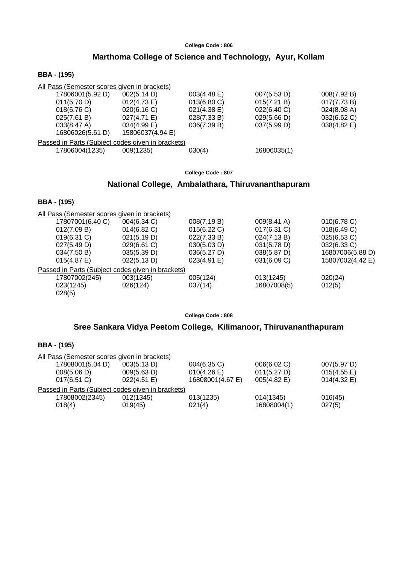# **Marthoma College of Science and Technology, Ayur, Kollam**

## **BBA - (195)**

| All Pass (Semester scores given in brackets)      |                  |                       |             |             |
|---------------------------------------------------|------------------|-----------------------|-------------|-------------|
| 17806001(5.92 D)                                  | 002(5.14 D)      | $003(4.48 \text{ E})$ | 007(5.53 D) | 008(7.92 B) |
| 011(5.70 D)                                       | 012(4.73 E)      | 013(6.80 C)           | 015(7.21 B) | 017(7.73 B) |
| 018(6.76)                                         | 020(6.16)        | $021(4.38)$ E)        | 022(6.40 C) | 024(8.08 A) |
| 025(7.61 B)                                       | $027(4.71)$ E)   | 028(7.33 B)           | 029(5.66 D) | 032(6.62 C) |
| $033(8.47 \text{ A})$                             | $034(4.99)$ E)   | 036(7.39 B)           | 037(5.99 D) | 038(4.82 E) |
| 16806026(5.61 D)                                  | 15806037(4.94 E) |                       |             |             |
| Passed in Parts (Subject codes given in brackets) |                  |                       |             |             |
| 17806004(1235)                                    | 009(1235)        | 030(4)                | 16806035(1) |             |

**College Code : 807**

# **National College, Ambalathara, Thiruvananthapuram**

## **BBA - (195)**

| All Pass (Semester scores given in brackets)      |             |             |                       |                  |
|---------------------------------------------------|-------------|-------------|-----------------------|------------------|
| 17807001(6.40 C)                                  | 004(6.34 C) | 008(7.19 B) | $009(8.41 \text{ A})$ | 010(6.78 C)      |
| 012(7.09 B)                                       | 014(6.82)   | 015(6.22 C) | 017(6.31 C)           | 018(6.49 C)      |
| $019(6.31)$ C)                                    | 021(5.19 D) | 022(7.33 B) | 024(7.13 B)           | 025(6.53 C)      |
| 027(5.49 D)                                       | 029(6.61 C) | 030(5.03 D) | 031(5.78 D)           | 032(6.33 C)      |
| 034(7.50 B)                                       | 035(5.39 D) | 036(5.27 D) | $038(5.87 \text{ D})$ | 16807006(5.88 D) |
| 015(4.87)                                         | 022(5.13 D) | 023(4.91 E) | 031(6.09 C)           | 15807002(4.42 E) |
| Passed in Parts (Subject codes given in brackets) |             |             |                       |                  |
| 17807002(245)                                     | 003(1245)   | 005(124)    | 013(1245)             | 020(24)          |
| 023(1245)                                         | 026(124)    | 037(14)     | 16807008(5)           | 012(5)           |
| 028(5)                                            |             |             |                       |                  |
|                                                   |             |             |                       |                  |

**College Code : 808**

# **Sree Sankara Vidya Peetom College, Kilimanoor, Thiruvananthapuram**

| All Pass (Semester scores given in brackets)      |             |                  |                |                       |
|---------------------------------------------------|-------------|------------------|----------------|-----------------------|
| 17808001(5.04 D)                                  | 003(5.13 D) | 004(6.35 C)      | 006(6.02 C)    | 007(5.97 D)           |
| 008(5.06 D)                                       | 009(5.63 D) | 010(4.26)        | 011(5.27 D)    | $015(4.55 \text{ E})$ |
| $017(6.51)$ C)                                    | 022(4.51)   | 16808001(4.67 E) | $005(4.82)$ E) | $014(4.32)$ E)        |
| Passed in Parts (Subject codes given in brackets) |             |                  |                |                       |
| 17808002(2345)                                    | 012(1345)   | 013(1235)        | 014(1345)      | 016(45)               |
| 018(4)                                            | 019(45)     | 021(4)           | 16808004(1)    | 027(5)                |
|                                                   |             |                  |                |                       |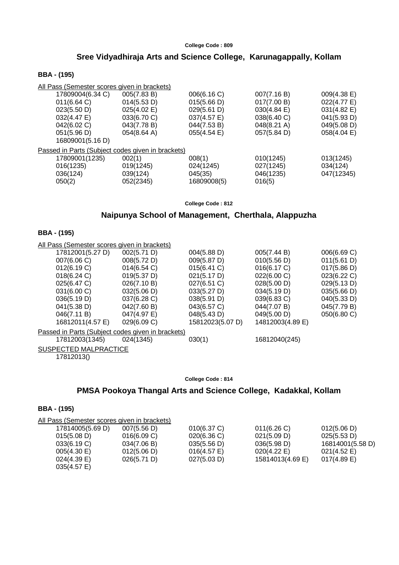# **Sree Vidyadhiraja Arts and Science College, Karunagappally, Kollam**

## **BBA - (195)**

| All Pass (Semester scores given in brackets)      |                       |                       |             |             |
|---------------------------------------------------|-----------------------|-----------------------|-------------|-------------|
| 17809004(6.34 C)                                  | 005(7.83 B)           | 006(6.16 C)           | 007(7.16 B) | 009(4.38 E) |
| 011(6.64)                                         | 014(5.53 D)           | 015(5.66 D)           | 017(7.00 B) | 022(4.77 E) |
| 023(5.50 D)                                       | 025(4.02)             | 029(5.61 D)           | 030(4.84 E) | 031(4.82 E) |
| 032(4.47 E)                                       | 033(6.70 C)           | 037(4.57 E)           | 038(6.40 C) | 041(5.93 D) |
| 042(6.02 C)                                       | 043(7.78 B)           | 044(7.53 B)           | 048(8.21 A) | 049(5.08 D) |
| 051(5.96 D)                                       | $054(8.64 \text{ A})$ | $055(4.54 \text{ E})$ | 057(5.84 D) | 058(4.04 E) |
| 16809001(5.16 D)                                  |                       |                       |             |             |
| Passed in Parts (Subject codes given in brackets) |                       |                       |             |             |
| 17809001(1235)                                    | 002(1)                | 008(1)                | 010(1245)   | 013(1245)   |
| 016(1235)                                         | 019(1245)             | 024(1245)             | 027(1245)   | 034(124)    |
| 036(124)                                          | 039(124)              | 045(35)               | 046(1235)   | 047(12345)  |
| 050(2)                                            | 052(2345)             | 16809008(5)           | 016(5)      |             |
|                                                   |                       |                       |             |             |

**College Code : 812**

# **Naipunya School of Management, Cherthala, Alappuzha**

#### **BBA - (195)**

All Pass (Semester scores given in brackets)

| 17812001(5.27 D)      | 002(5.71 D)                                       | 004(5.88 D)      | 005(7.44 B)      | 006(6.69 C) |
|-----------------------|---------------------------------------------------|------------------|------------------|-------------|
| 007(6.06 C)           | 008(5.72 D)                                       | 009(5.87 D)      | 010(5.56 D)      | 011(5.61 D) |
| 012(6.19 C)           | 014(6.54)                                         | 015(6.41 C)      | 016(6.17 C)      | 017(5.86 D) |
| 018(6.24)             | 019(5.37 D)                                       | 021(5.17 D)      | 022(6.00 C)      | 023(6.22 C) |
| 025(6.47 C)           | 026(7.10 B)                                       | 027(6.51 C)      | 028(5.00 D)      | 029(5.13 D) |
| 031(6.00 C)           | 032(5.06 D)                                       | 033(5.27 D)      | 034(5.19 D)      | 035(5.66 D) |
| 036(5.19 D)           | 037(6.28)                                         | 038(5.91 D)      | 039(6.83 C)      | 040(5.33 D) |
| 041(5.38 D)           | 042(7.60 B)                                       | 043(6.57 C)      | 044(7.07 B)      | 045(7.79 B) |
| 046(7.11 B)           | 047(4.97 E)                                       | 048(5.43 D)      | 049(5.00 D)      | 050(6.80 C) |
| 16812011(4.57 E)      | 029(6.09 C)                                       | 15812023(5.07 D) | 14812003(4.89 E) |             |
|                       | Passed in Parts (Subject codes given in brackets) |                  |                  |             |
| 17812003(1345)        | 024(1345)                                         | 030(1)           | 16812040(245)    |             |
| SUSPECTED MALPRACTICE |                                                   |                  |                  |             |
|                       |                                                   |                  |                  |             |

17812013()

#### **College Code : 814**

# **PMSA Pookoya Thangal Arts and Science College, Kadakkal, Kollam**

| All Pass (Semester scores given in brackets) |             |             |                  |                       |
|----------------------------------------------|-------------|-------------|------------------|-----------------------|
| 17814005(5.69 D)                             | 007(5.56 D) | 010(6.37 C) | 011(6.26)        | 012(5.06 D)           |
| 015(5.08 D)                                  | 016(6.09 C) | 020(6.36)   | 021(5.09 D)      | 025(5.53 D)           |
| 033(6.19 C)                                  | 034(7.06 B) | 035(5.56 D) | 036(5.98 D)      | 16814001(5.58 D)      |
| $005(4.30)$ E)                               | 012(5.06 D) | 016(4.57)   | 020(4.22 E)      | $021(4.52 \text{ E})$ |
| $024(4.39)$ E)                               | 026(5.71 D) | 027(5.03 D) | 15814013(4.69 E) | $017(4.89)$ E)        |
| $035(4.57)$ E)                               |             |             |                  |                       |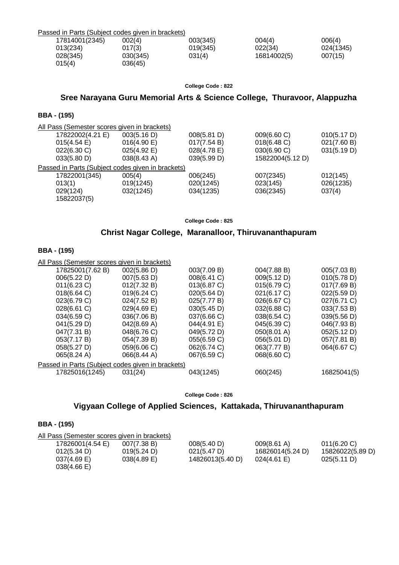| Passed in Parts (Subject codes given in brackets) |          |          |             |           |
|---------------------------------------------------|----------|----------|-------------|-----------|
| 17814001(2345)                                    | 002(4)   | 003(345) | 004(4)      | 006(4)    |
| 013(234)                                          | 017(3)   | 019(345) | 022(34)     | 024(1345) |
| 028(345)                                          | 030(345) | 031(4)   | 16814002(5) | 007(15)   |
| 015(4)                                            | 036(45)  |          |             |           |

# **Sree Narayana Guru Memorial Arts & Science College, Thuravoor, Alappuzha**

## **BBA - (195)**

| All Pass (Semester scores given in brackets)      |                       |             |                  |             |
|---------------------------------------------------|-----------------------|-------------|------------------|-------------|
| 17822002(4.21 E)                                  | 003(5.16 D)           | 008(5.81 D) | 009(6.60 C)      | 010(5.17 D) |
| 015(4.54)                                         | 016(4.90 E)           | 017(7.54 B) | 018(6.48 C)      | 021(7.60 B) |
| 022(6.30 C)                                       | 025(4.92 E)           | 028(4.78 E) | 030(6.90 C)      | 031(5.19 D) |
| 033(5.80 D)                                       | $038(8.43 \text{ A})$ | 039(5.99 D) | 15822004(5.12 D) |             |
| Passed in Parts (Subject codes given in brackets) |                       |             |                  |             |
| 17822001(345)                                     | 005(4)                | 006(245)    | 007(2345)        | 012(145)    |
| 013(1)                                            | 019(1245)             | 020(1245)   | 023(145)         | 026(1235)   |
| 029(124)                                          | 032(1245)             | 034(1235)   | 036(2345)        | 037(4)      |
| 15822037(5)                                       |                       |             |                  |             |
|                                                   |                       |             |                  |             |

**College Code : 825**

# **Christ Nagar College, Maranalloor, Thiruvananthapuram**

#### **BBA - (195)**

| All Pass (Semester scores given in brackets) |             |                                                   |             |
|----------------------------------------------|-------------|---------------------------------------------------|-------------|
| 002(5.86 D)                                  | 003(7.09 B) | 004(7.88 B)                                       | 005(7.03 B) |
| 007(5.63 D)                                  | 008(6.41 C) | 009(5.12 D)                                       | 010(5.78 D) |
| 012(7.32 B)                                  | 013(6.87 C) | 015(6.79 C)                                       | 017(7.69 B) |
| 019(6.24 C)                                  | 020(5.64 D) | 021(6.17 C)                                       | 022(5.59 D) |
| 024(7.52 B)                                  | 025(7.77 B) | 026(6.67 C)                                       | 027(6.71 C) |
| $029(4.69)$ E)                               | 030(5.45 D) | 032(6.88 C)                                       | 033(7.53 B) |
| 036(7.06 B)                                  | 037(6.66 C) | 038(6.54 C)                                       | 039(5.56 D) |
| 042(8.69 A)                                  | 044(4.91 E) | 045(6.39 C)                                       | 046(7.93 B) |
| 048(6.76 C)                                  | 049(5.72 D) | 050(8.01 A)                                       | 052(5.12 D) |
| 054(7.39 B)                                  | 055(6.59 C) | 056(5.01 D)                                       | 057(7.81 B) |
| 059(6.06 C)                                  | 062(6.74 C) | 063(7.77 B)                                       | 064(6.67 C) |
| 066(8.44 A)                                  | 067(6.59 C) | 068(6.60 C)                                       |             |
|                                              |             |                                                   |             |
| 031(24)                                      | 043(1245)   | 060(245)                                          | 16825041(5) |
|                                              |             | Passed in Parts (Subject codes given in brackets) |             |

**College Code : 826**

# **Vigyaan College of Applied Sciences, Kattakada, Thiruvananthapuram**

| All Pass (Semester scores given in brackets) |                |                       |                       |                  |
|----------------------------------------------|----------------|-----------------------|-----------------------|------------------|
| 17826001(4.54 E)                             | 007(7.38 B)    | 008(5.40 D)           | $009(8.61 \text{ A})$ | 011(6.20)        |
| 012(5.34 D)                                  | 019(5.24 D)    | $021(5.47 \text{ D})$ | 16826014(5.24 D)      | 15826022(5.89 D) |
| $037(4.69)$ E)                               | $038(4.89)$ E) | 14826013(5.40 D)      | $024(4.61 \text{ E})$ | 025(5.11 D)      |
| $038(4.66 \text{ E})$                        |                |                       |                       |                  |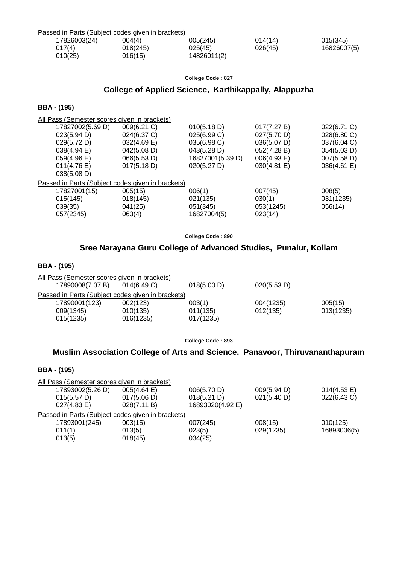| Passed in Parts (Subject codes given in brackets) |          |             |         |             |
|---------------------------------------------------|----------|-------------|---------|-------------|
| 17826003(24)                                      | 004(4)   | 005(245)    | 014(14) | 015(345)    |
| 017(4)                                            | 018(245) | 025(45)     | 026(45) | 16826007(5) |
| 010(25)                                           | 016(15)  | 14826011(2) |         |             |
|                                                   |          |             |         |             |

# **College of Applied Science, Karthikappally, Alappuzha**

## **BBA - (195)**

| All Pass (Semester scores given in brackets)      |             |                  |             |             |
|---------------------------------------------------|-------------|------------------|-------------|-------------|
| 17827002(5.69 D)                                  | 009(6.21 C) | 010(5.18 D)      | 017(7.27 B) | 022(6.71 C) |
| 023(5.94 D)                                       | 024(6.37 C) | 025(6.99 C)      | 027(5.70 D) | 028(6.80 C) |
| 029(5.72 D)                                       | 032(4.69 E) | 035(6.98 C)      | 036(5.07 D) | 037(6.04 C) |
| 038(4.94)                                         | 042(5.08 D) | 043(5.28 D)      | 052(7.28 B) | 054(5.03 D) |
| $059(4.96 \text{ E})$                             | 066(5.53 D) | 16827001(5.39 D) | 006(4.93 E) | 007(5.58 D) |
| $011(4.76 \text{ E})$                             | 017(5.18 D) | 020(5.27 D)      | 030(4.81 E) | 036(4.61)   |
| 038(5.08 D)                                       |             |                  |             |             |
| Passed in Parts (Subject codes given in brackets) |             |                  |             |             |
| 17827001(15)                                      | 005(15)     | 006(1)           | 007(45)     | 008(5)      |
| 015(145)                                          | 018(145)    | 021(135)         | 030(1)      | 031(1235)   |
| 039(35)                                           | 041(25)     | 051(345)         | 053(1245)   | 056(14)     |
| 057(2345)                                         | 063(4)      | 16827004(5)      | 023(14)     |             |
|                                                   |             |                  |             |             |

**College Code : 890**

# **Sree Narayana Guru College of Advanced Studies, Punalur, Kollam**

#### **BBA - (195)**

| All Pass (Semester scores given in brackets)      |                |             |             |           |
|---------------------------------------------------|----------------|-------------|-------------|-----------|
| 17890008(7.07 B)                                  | $014(6.49)$ C) | 018(5.00 D) | 020(5.53 D) |           |
| Passed in Parts (Subject codes given in brackets) |                |             |             |           |
| 17890001(123)                                     | 002(123)       | 003(1)      | 004(1235)   | 005(15)   |
| 009(1345)                                         | 010(135)       | 011(135)    | 012(135)    | 013(1235) |
| 015(1235)                                         | 016(1235)      | 017(1235)   |             |           |
|                                                   |                |             |             |           |

**College Code : 893**

# **Muslim Association College of Arts and Science, Panavoor, Thiruvananthapuram**

| 17893002(5.26 D)      | 005(4.64)   | 006(5.70 D)                                                                                       | 009(5.94 D) | 014(4.53 E) |
|-----------------------|-------------|---------------------------------------------------------------------------------------------------|-------------|-------------|
| 015(5.57 D)           | 017(5.06 D) | 018(5.21 D)                                                                                       | 021(5.40 D) | 022(6.43 C) |
| $027(4.83 \text{ E})$ | 028(7.11 B) | 16893020(4.92 E)                                                                                  |             |             |
|                       |             |                                                                                                   |             |             |
| 17893001(245)         | 003(15)     | 007(245)                                                                                          | 008(15)     | 010(125)    |
| 011(1)                | 013(5)      | 023(5)                                                                                            | 029(1235)   | 16893006(5) |
| 013(5)                | 018(45)     | 034(25)                                                                                           |             |             |
|                       |             | All Pass (Semester scores given in brackets)<br>Passed in Parts (Subject codes given in brackets) |             |             |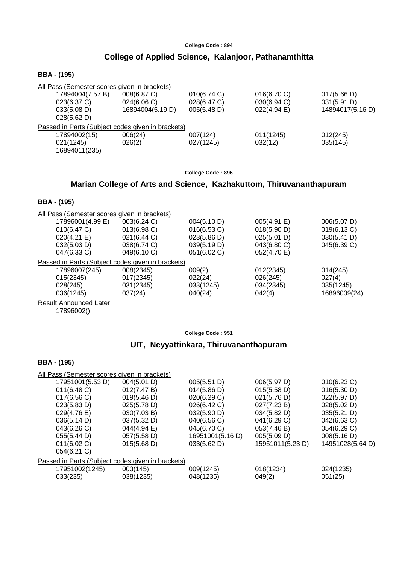# **College of Applied Science, Kalanjoor, Pathanamthitta**

## **BBA - (195)**

| All Pass (Semester scores given in brackets)      |                       |             |             |                  |  |  |
|---------------------------------------------------|-----------------------|-------------|-------------|------------------|--|--|
| 17894004(7.57 B)                                  | 008(6.87 C)           | 010(6.74 C) | 016(6.70 C) | 017(5.66 D)      |  |  |
| 023(6.37 C)                                       | $024(6.06 \text{ C})$ | 028(6.47 C) | 030(6.94 C) | 031(5.91 D)      |  |  |
| 033(5.08 D)                                       | 16894004(5.19 D)      | 005(5.48 D) | 022(4.94 E) | 14894017(5.16 D) |  |  |
| 028(5.62 D)                                       |                       |             |             |                  |  |  |
| Passed in Parts (Subject codes given in brackets) |                       |             |             |                  |  |  |
| 17894002(15)                                      | 006(24)               | 007(124)    | 011(1245)   | 012(245)         |  |  |
| 021(1245)                                         | 026(2)                | 027(1245)   | 032(12)     | 035(145)         |  |  |
| 16894011(235)                                     |                       |             |             |                  |  |  |

**College Code : 896**

# **Marian College of Arts and Science, Kazhakuttom, Thiruvananthapuram**

## **BBA - (195)**

| All Pass (Semester scores given in brackets)      |             |                       |             |              |
|---------------------------------------------------|-------------|-----------------------|-------------|--------------|
| 17896001(4.99 E)                                  | 003(6.24 C) | 004(5.10 D)           | 005(4.91 E) | 006(5.07 D)  |
| 010(6.47 C)                                       | 013(6.98 C) | 016(6.53 C)           | 018(5.90 D) | 019(6.13 C)  |
| $020(4.21)$ E)                                    | 021(6.44 C) | $023(5.86 \text{ D})$ | 025(5.01 D) | 030(5.41 D)  |
| 032(5.03 D)                                       | 038(6.74 C) | 039(5.19 D)           | 043(6.80 C) | 045(6.39 C)  |
| 047(6.33 C)                                       | 049(6.10 C) | 051(6.02 C)           | 052(4.70 E) |              |
| Passed in Parts (Subject codes given in brackets) |             |                       |             |              |
| 17896007(245)                                     | 008(2345)   | 009(2)                | 012(2345)   | 014(245)     |
| 015(2345)                                         | 017(2345)   | 022(24)               | 026(245)    | 027(4)       |
| 028(245)                                          | 031(2345)   | 033(1245)             | 034(2345)   | 035(1245)    |
| 036(1245)                                         | 037(24)     | 040(24)               | 042(4)      | 16896009(24) |
| <b>Result Announced Later</b>                     |             |                       |             |              |

17896002()

**College Code : 951**

# **UIT, Neyyattinkara, Thiruvananthapuram**

| All Pass (Semester scores given in brackets)      |             |                  |                  |                  |
|---------------------------------------------------|-------------|------------------|------------------|------------------|
| 17951001(5.53 D)                                  | 004(5.01 D) | 005(5.51 D)      | 006(5.97 D)      | 010(6.23 C)      |
| 011(6.48)                                         | 012(7.47 B) | 014(5.86 D)      | 015(5.58 D)      | 016(5.30 D)      |
| 017(6.56)                                         | 019(5.46 D) | 020(6.29 C)      | 021(5.76 D)      | 022(5.97 D)      |
| 023(5.83 D)                                       | 025(5.78 D) | 026(6.42 C)      | 027(7.23 B)      | 028(5.02 D)      |
| 029(4.76 E)                                       | 030(7.03 B) | 032(5.90 D)      | 034(5.82 D)      | 035(5.21 D)      |
| 036(5.14 D)                                       | 037(5.32 D) | 040(6.56 C)      | 041(6.29 C)      | 042(6.63 C)      |
| 043(6.26 C)                                       | 044(4.94 E) | 045(6.70 C)      | 053(7.46 B)      | 054(6.29 C)      |
| 055(5.44 D)                                       | 057(5.58 D) | 16951001(5.16 D) | 005(5.09 D)      | 008(5.16 D)      |
| 011(6.02 C)                                       | 015(5.68 D) | 033(5.62 D)      | 15951011(5.23 D) | 14951028(5.64 D) |
| 054(6.21 C)                                       |             |                  |                  |                  |
| Passed in Parts (Subject codes given in brackets) |             |                  |                  |                  |
| 17951002(1245)                                    | 003(145)    | 009(1245)        | 018(1234)        | 024(1235)        |
| 033(235)                                          | 038(1235)   | 048(1235)        | 049(2)           | 051(25)          |
|                                                   |             |                  |                  |                  |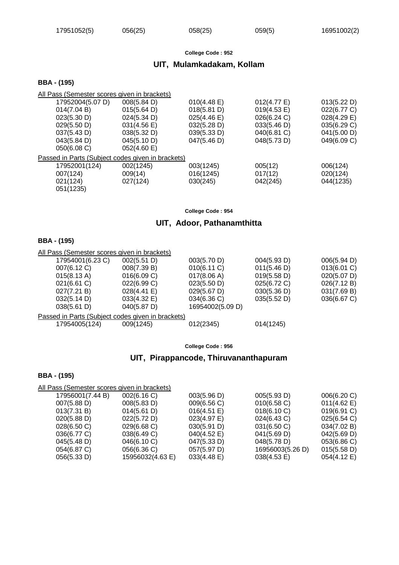# **UIT, Mulamkadakam, Kollam**

#### **BBA - (195)**

| All Pass (Semester scores given in brackets)      |                       |                       |                       |             |
|---------------------------------------------------|-----------------------|-----------------------|-----------------------|-------------|
| 17952004(5.07 D)                                  | 008(5.84 D)           | $010(4.48 \text{ E})$ | $012(4.77 \text{ E})$ | 013(5.22 D) |
| 014(7.04 B)                                       | 015(5.64 D)           | 018(5.81 D)           | 019(4.53 E)           | 022(6.77 C) |
| 023(5.30 D)                                       | 024(5.34 D)           | $025(4.46 \text{ E})$ | 026(6.24 C)           | 028(4.29 E) |
| 029(5.50 D)                                       | $031(4.56 \text{ E})$ | 032(5.28 D)           | 033(5.46 D)           | 035(6.29 C) |
| 037(5.43 D)                                       | 038(5.32 D)           | 039(5.33 D)           | 040(6.81 C)           | 041(5.00 D) |
| $043(5.84 \text{ D})$                             | 045(5.10 D)           | 047(5.46 D)           | 048(5.73 D)           | 049(6.09 C) |
| 050(6.08)                                         | 052(4.60)             |                       |                       |             |
| Passed in Parts (Subject codes given in brackets) |                       |                       |                       |             |
| 17952001(124)                                     | 002(1245)             | 003(1245)             | 005(12)               | 006(124)    |
| 007(124)                                          | 009(14)               | 016(1245)             | 017(12)               | 020(124)    |
| 021(124)                                          | 027(124)              | 030(245)              | 042(245)              | 044(1235)   |
| 051(1235)                                         |                       |                       |                       |             |
|                                                   |                       |                       |                       |             |

**College Code : 954**

## **UIT, Adoor, Pathanamthitta**

## **BBA - (195)**

| All Pass (Semester scores given in brackets) |                       |                                                   |             |
|----------------------------------------------|-----------------------|---------------------------------------------------|-------------|
| 002(5.51 D)                                  | 003(5.70 D)           | 004(5.93 D)                                       | 006(5.94 D) |
| 008(7.39 B)                                  | 010(6.11 C)           | 011(5.46 D)                                       | 013(6.01 C) |
| 016(6.09 C)                                  | 017(8.06 A)           | 019(5.58 D)                                       | 020(5.07 D) |
| 022(6.99 C)                                  | 023(5.50 D)           | 025(6.72 C)                                       | 026(7.12 B) |
| 028(4.41)                                    | $029(5.67 \text{ D})$ | 030(5.36 D)                                       | 031(7.69 B) |
| $033(4.32)$ E)                               | 034(6.36 C)           | 035(5.52 D)                                       | 036(6.67 C) |
| $040(5.87 \text{ D})$                        | 16954002(5.09 D)      |                                                   |             |
|                                              |                       |                                                   |             |
| 009(1245)                                    | 012(2345)             | 014(1245)                                         |             |
|                                              |                       | Passed in Parts (Subject codes given in brackets) |             |

**College Code : 956**

# **UIT, Pirappancode, Thiruvananthapuram**

| All Pass (Semester scores given in brackets) |                  |                |                  |             |
|----------------------------------------------|------------------|----------------|------------------|-------------|
|                                              |                  |                |                  |             |
| 17956001(7.44 B)                             | 002(6.16 C)      | 003(5.96 D)    | 005(5.93 D)      | 006(6.20 C) |
| 007(5.88 D)                                  | 008(5.83 D)      | 009(6.56 C)    | 010(6.58)        | 011(4.62 E) |
| 013(7.31 B)                                  | 014(5.61 D)      | 016(4.51 E)    | 018(6.10 C)      | 019(6.91 C) |
| 020(5.88 D)                                  | 022(5.72 D)      | 023(4.97 E)    | 024(6.43 C)      | 025(6.54 C) |
| 028(6.50 C)                                  | 029(6.68)        | 030(5.91 D)    | 031(6.50 C)      | 034(7.02 B) |
| 036(6.77 C)                                  | 038(6.49 C)      | 040(4.52 E)    | 041(5.69 D)      | 042(5.69 D) |
| 045(5.48 D)                                  | 046(6.10 C)      | 047(5.33 D)    | 048(5.78 D)      | 053(6.86 C) |
| 054(6.87 C)                                  | 056(6.36 C)      | 057(5.97 D)    | 16956003(5.26 D) | 015(5.58 D) |
| 056(5.33 D)                                  | 15956032(4.63 E) | $033(4.48)$ E) | 038(4.53 E)      | 054(4.12 E) |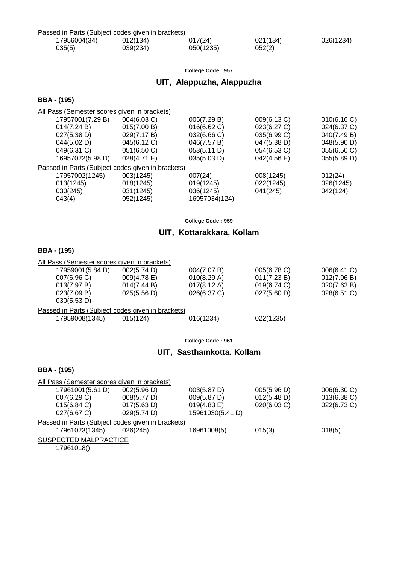| Passed in Parts (Subject codes given in brackets) |          |           |          |           |
|---------------------------------------------------|----------|-----------|----------|-----------|
| 17956004(34)                                      | 012(134) | 017(24)   | 021(134) | 026(1234) |
| 035(5)                                            | 039(234) | 050(1235) | 052(2)   |           |

# **UIT, Alappuzha, Alappuzha**

## **BBA - (195)**

All Pass (Semester scores given in brackets)

| 17957001(7.29 B)                                  | 004(6.03 C)    | 005(7.29 B)   | 009(6.13 C) | 010(6.16 C) |
|---------------------------------------------------|----------------|---------------|-------------|-------------|
| 014(7.24 B)                                       | 015(7.00 B)    | 016(6.62 C)   | 023(6.27 C) | 024(6.37 C) |
| 027(5.38 D)                                       | 029(7.17 B)    | 032(6.66 C)   | 035(6.99 C) | 040(7.49 B) |
| 044(5.02 D)                                       | 045(6.12 C)    | 046(7.57 B)   | 047(5.38 D) | 048(5.90 D) |
| 049(6.31 C)                                       | 051(6.50 C)    | 053(5.11 D)   | 054(6.53 C) | 055(6.50 C) |
| 16957022(5.98 D)                                  | $028(4.71)$ E) | 035(5.03 D)   | 042(4.56 E) | 055(5.89 D) |
| Passed in Parts (Subject codes given in brackets) |                |               |             |             |
| 17957002(1245)                                    | 003(1245)      | 007(24)       | 008(1245)   | 012(24)     |
| 013(1245)                                         | 018(1245)      | 019(1245)     | 022(1245)   | 026(1245)   |
| 030(245)                                          | 031(1245)      | 036(1245)     | 041(245)    | 042(124)    |
| 043(4)                                            | 052(1245)      | 16957034(124) |             |             |
|                                                   |                |               |             |             |

**College Code : 959**

# **UIT, Kottarakkara, Kollam**

# **BBA - (195)**

| All Pass (Semester scores given in brackets)      |                       |                       |             |             |
|---------------------------------------------------|-----------------------|-----------------------|-------------|-------------|
| 17959001(5.84 D)                                  | 002(5.74 D)           | 004(7.07 B)           | 005(6.78 C) | 006(6.41 C) |
| 007(6.96)                                         | $009(4.78 \text{ E})$ | 010(8.29 A)           | 011(7.23 B) | 012(7.96 B) |
| 013(7.97 B)                                       | 014(7.44 B)           | $017(8.12 \text{ A})$ | 019(6.74 C) | 020(7.62 B) |
| 023(7.09 B)                                       | 025(5.56 D)           | $026(6.37)$ C)        | 027(5.60 D) | 028(6.51 C) |
| 030(5.53 D)                                       |                       |                       |             |             |
| Passed in Parts (Subject codes given in brackets) |                       |                       |             |             |
| 17959008(1345)                                    | 015(124)              | 016(1234)             | 022(1235)   |             |

**College Code : 961**

# **UIT, Sasthamkotta, Kollam**

| All Pass (Semester scores given in brackets)      |             |                       |             |                |
|---------------------------------------------------|-------------|-----------------------|-------------|----------------|
| 17961001(5.61 D)                                  | 002(5.96 D) | 003(5.87 D)           | 005(5.96 D) | 006(6.30 C)    |
| 007(6.29 C)                                       | 008(5.77 D) | 009(5.87 D)           | 012(5.48 D) | $013(6.38)$ C) |
| 015(6.84)                                         | 017(5.63 D) | $019(4.83 \text{ E})$ | 020(6.03 C) | 022(6.73 C)    |
| 027(6.67 C)                                       | 029(5.74 D) | 15961030(5.41 D)      |             |                |
| Passed in Parts (Subject codes given in brackets) |             |                       |             |                |
| 17961023(1345)                                    | 026(245)    | 16961008(5)           | 015(3)      | 018(5)         |
| SUSPECTED MALPRACTICE                             |             |                       |             |                |
| 17961018()                                        |             |                       |             |                |